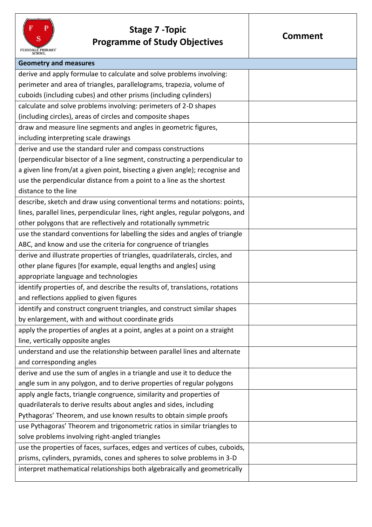

## **Stage 7 -Topic Programme of Study Objectives**

| <b>Geometry and measures</b>                                                    |  |
|---------------------------------------------------------------------------------|--|
| derive and apply formulae to calculate and solve problems involving:            |  |
| perimeter and area of triangles, parallelograms, trapezia, volume of            |  |
| cuboids (including cubes) and other prisms (including cylinders)                |  |
| calculate and solve problems involving: perimeters of 2-D shapes                |  |
| (including circles), areas of circles and composite shapes                      |  |
| draw and measure line segments and angles in geometric figures,                 |  |
| including interpreting scale drawings                                           |  |
| derive and use the standard ruler and compass constructions                     |  |
| (perpendicular bisector of a line segment, constructing a perpendicular to      |  |
| a given line from/at a given point, bisecting a given angle); recognise and     |  |
| use the perpendicular distance from a point to a line as the shortest           |  |
| distance to the line                                                            |  |
| describe, sketch and draw using conventional terms and notations: points,       |  |
| lines, parallel lines, perpendicular lines, right angles, regular polygons, and |  |
| other polygons that are reflectively and rotationally symmetric                 |  |
| use the standard conventions for labelling the sides and angles of triangle     |  |
| ABC, and know and use the criteria for congruence of triangles                  |  |
| derive and illustrate properties of triangles, quadrilaterals, circles, and     |  |
| other plane figures [for example, equal lengths and angles] using               |  |
| appropriate language and technologies                                           |  |
| identify properties of, and describe the results of, translations, rotations    |  |
| and reflections applied to given figures                                        |  |
| identify and construct congruent triangles, and construct similar shapes        |  |
| by enlargement, with and without coordinate grids                               |  |
| apply the properties of angles at a point, angles at a point on a straight      |  |
| line, vertically opposite angles                                                |  |
| understand and use the relationship between parallel lines and alternate        |  |
| and corresponding angles                                                        |  |
| derive and use the sum of angles in a triangle and use it to deduce the         |  |
| angle sum in any polygon, and to derive properties of regular polygons          |  |
| apply angle facts, triangle congruence, similarity and properties of            |  |
| quadrilaterals to derive results about angles and sides, including              |  |
| Pythagoras' Theorem, and use known results to obtain simple proofs              |  |
| use Pythagoras' Theorem and trigonometric ratios in similar triangles to        |  |
| solve problems involving right-angled triangles                                 |  |
| use the properties of faces, surfaces, edges and vertices of cubes, cuboids,    |  |
| prisms, cylinders, pyramids, cones and spheres to solve problems in 3-D         |  |
| interpret mathematical relationships both algebraically and geometrically       |  |
|                                                                                 |  |